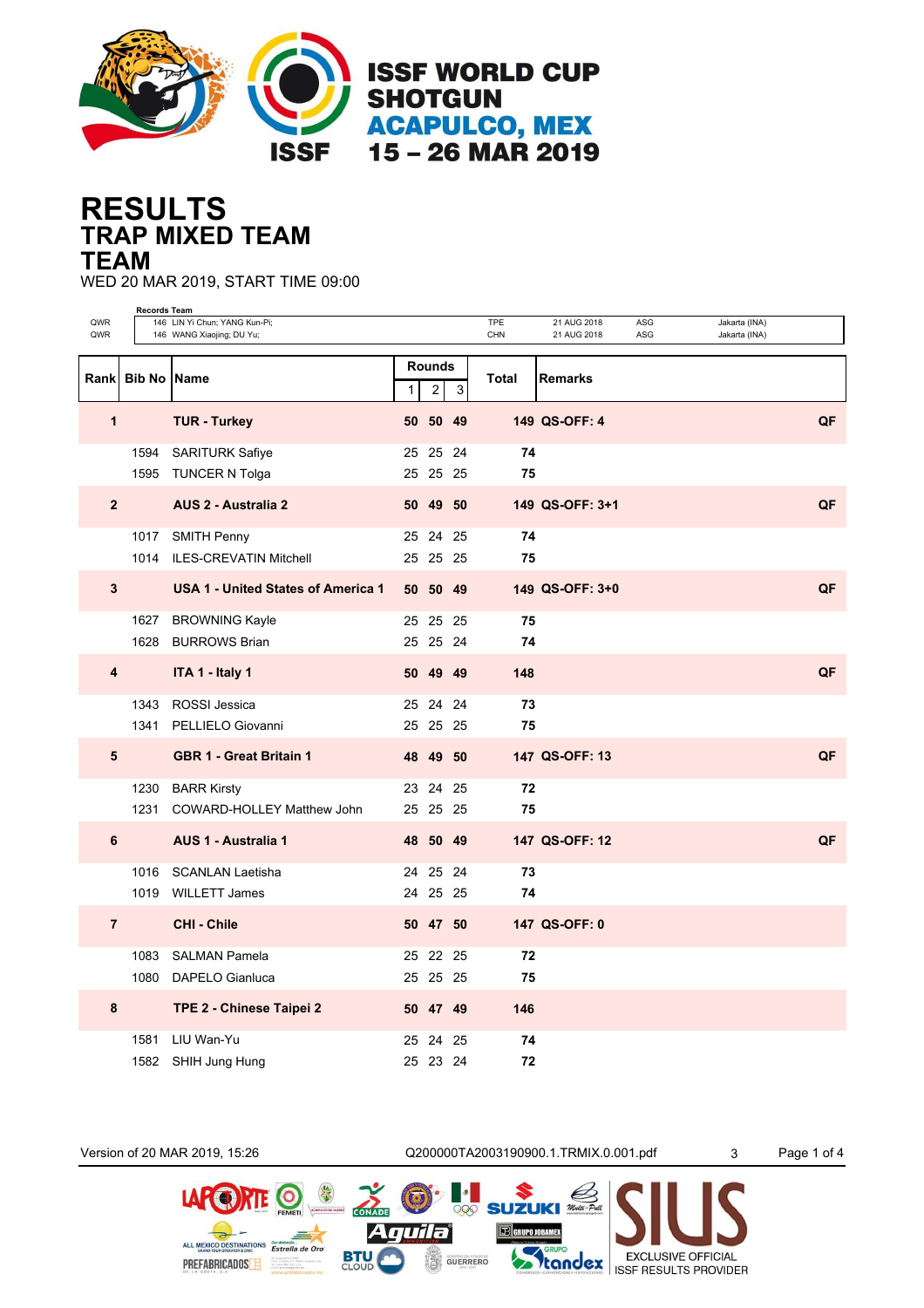

## **TRAP MIXED TEAM RESULTS TEAM**

WED 20 MAR 2019, START TIME 09:00

|                | <b>Records Team</b>  |                                    |   |                               |             |              |                 |     |               |    |
|----------------|----------------------|------------------------------------|---|-------------------------------|-------------|--------------|-----------------|-----|---------------|----|
| QWR            |                      | 146 LIN Yi Chun; YANG Kun-Pi;      |   |                               |             | <b>TPE</b>   | 21 AUG 2018     | ASG | Jakarta (INA) |    |
| QWR            |                      | 146 WANG Xiaojing; DU Yu;          |   |                               |             | CHN          | 21 AUG 2018     | ASG | Jakarta (INA) |    |
|                | Rank   Bib No   Name |                                    | 1 | <b>Rounds</b><br>$\mathbf{2}$ | $\mathsf 3$ | <b>Total</b> | <b>Remarks</b>  |     |               |    |
| 1              |                      | <b>TUR - Turkey</b>                |   | 50 50 49                      |             |              | 149 QS-OFF: 4   |     |               | QF |
|                |                      | 1594 SARITURK Safiye               |   | 25 25 24                      |             | 74           |                 |     |               |    |
|                |                      | 1595 TUNCER N Tolga                |   | 25 25 25                      |             | 75           |                 |     |               |    |
| $\overline{2}$ |                      | <b>AUS 2 - Australia 2</b>         |   | 50 49 50                      |             |              | 149 QS-OFF: 3+1 |     |               | QF |
|                |                      | 1017 SMITH Penny                   |   | 25 24 25                      |             | 74           |                 |     |               |    |
|                |                      | 1014 ILES-CREVATIN Mitchell        |   | 25 25 25                      |             | 75           |                 |     |               |    |
| $3\phantom{a}$ |                      | USA 1 - United States of America 1 |   | 50 50 49                      |             |              | 149 QS-OFF: 3+0 |     |               | QF |
|                |                      | 1627 BROWNING Kayle                |   | 25 25 25                      |             | 75           |                 |     |               |    |
|                |                      | 1628 BURROWS Brian                 |   | 25 25 24                      |             | 74           |                 |     |               |    |
| 4              |                      | ITA 1 - Italy 1                    |   | 50 49 49                      |             | 148          |                 |     |               | QF |
|                |                      | 1343 ROSSI Jessica                 |   | 25 24 24                      |             | 73           |                 |     |               |    |
|                |                      | 1341 PELLIELO Giovanni             |   | 25 25 25                      |             | 75           |                 |     |               |    |
| 5              |                      | <b>GBR 1 - Great Britain 1</b>     |   | 48 49 50                      |             |              | 147 QS-OFF: 13  |     |               | QF |
|                |                      | 1230 BARR Kirsty                   |   | 23 24 25                      |             | 72           |                 |     |               |    |
|                |                      | 1231 COWARD-HOLLEY Matthew John    |   | 25 25 25                      |             | 75           |                 |     |               |    |
| 6              |                      | AUS 1 - Australia 1                |   | 48 50 49                      |             |              | 147 QS-OFF: 12  |     |               | QF |
|                |                      | 1016 SCANLAN Laetisha              |   | 24 25 24                      |             | 73           |                 |     |               |    |
|                |                      | 1019 WILLETT James                 |   | 24 25 25                      |             | 74           |                 |     |               |    |
| $\overline{7}$ |                      | <b>CHI - Chile</b>                 |   | 50 47 50                      |             |              | 147 QS-OFF: 0   |     |               |    |
|                |                      | 1083 SALMAN Pamela                 |   | 25 22 25                      |             | 72           |                 |     |               |    |
|                |                      | 1080 DAPELO Gianluca               |   | 25 25 25                      |             | 75           |                 |     |               |    |
| 8              |                      | TPE 2 - Chinese Taipei 2           |   | 50 47 49                      |             | 146          |                 |     |               |    |
|                |                      | 1581 LIU Wan-Yu                    |   | 25 24                         | 25          | 74           |                 |     |               |    |
|                |                      | 1582 SHIH Jung Hung                |   | 25 23 24                      |             | 72           |                 |     |               |    |

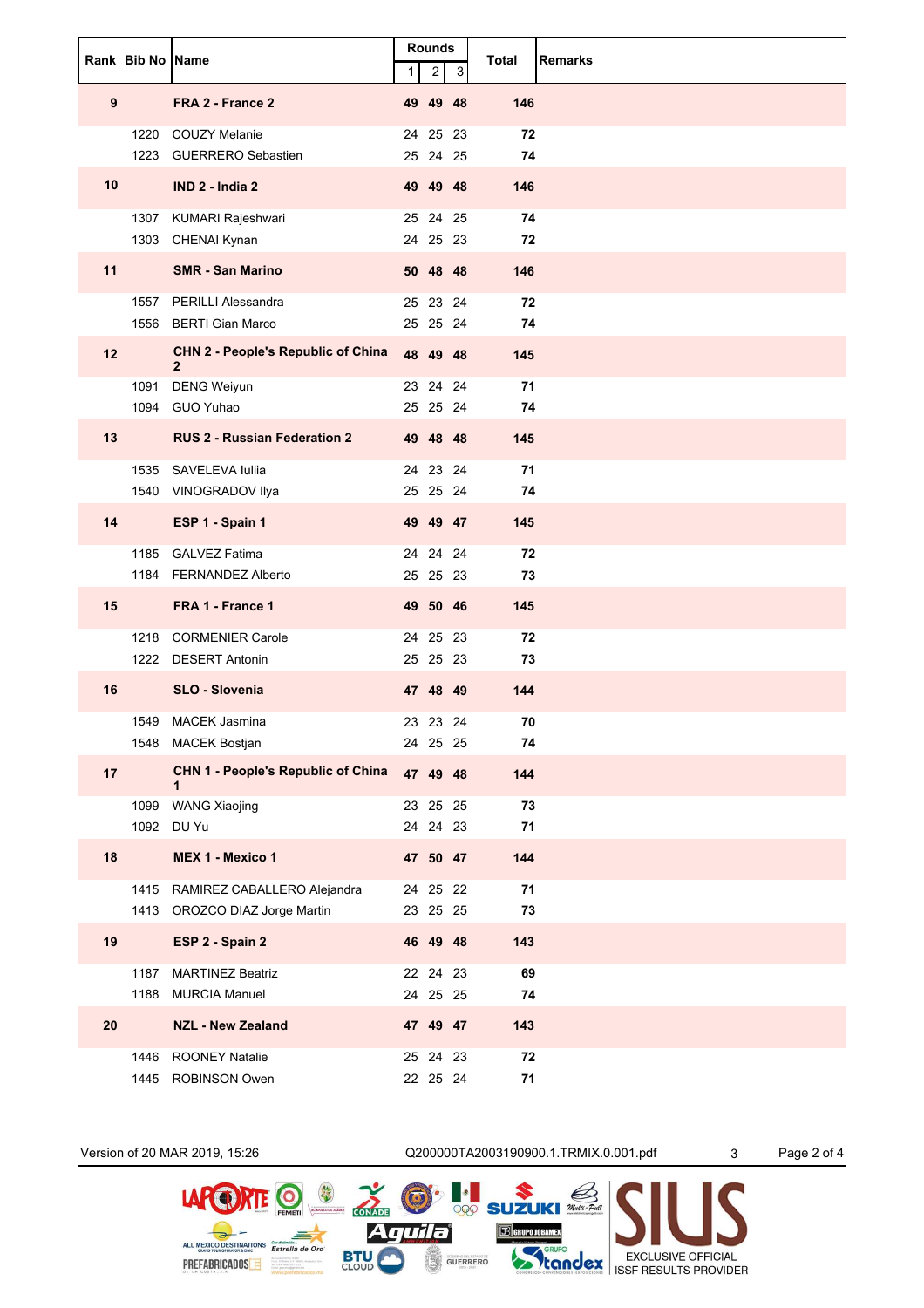|    | <b>Rankl Bib No IName</b> |                                                           | $\mathbf{1}$ | Rounds<br>$\overline{\mathbf{c}}$ | 3 | Total            | <b>Remarks</b> |
|----|---------------------------|-----------------------------------------------------------|--------------|-----------------------------------|---|------------------|----------------|
| 9  |                           | FRA 2 - France 2                                          |              | 49 49 48                          |   | 146              |                |
|    | 1223                      | 1220 COUZY Melanie<br><b>GUERRERO Sebastien</b>           |              | 24 25 23<br>25 24 25              |   | 72<br>74         |                |
| 10 |                           | IND 2 - India 2                                           |              | 49 49 48                          |   | 146              |                |
|    |                           | 1307 KUMARI Rajeshwari<br>1303 CHENAI Kynan               |              | 25 24 25<br>24 25 23              |   | 74<br>72         |                |
| 11 |                           | <b>SMR - San Marino</b>                                   |              | 50 48 48                          |   | 146              |                |
|    | 1556                      | 1557 PERILLI Alessandra<br><b>BERTI Gian Marco</b>        |              | 25 23 24<br>25 25 24              |   | 72<br>74         |                |
| 12 |                           | <b>CHN 2 - People's Republic of China</b><br>$\mathbf{2}$ |              | 48 49 48                          |   | 145              |                |
|    | 1091<br>1094              | <b>DENG Weiyun</b><br>GUO Yuhao                           |              | 23 24 24<br>25 25 24              |   | 71<br>74         |                |
| 13 |                           | <b>RUS 2 - Russian Federation 2</b>                       |              | 49 48 48                          |   | 145              |                |
|    |                           | 1535 SAVELEVA Iuliia<br>1540 VINOGRADOV Ilya              |              | 24 23 24<br>25 25 24              |   | 71<br>74         |                |
| 14 |                           | ESP 1 - Spain 1                                           |              | 49 49 47                          |   | 145              |                |
|    |                           | 1185 GALVEZ Fatima<br>1184 FERNANDEZ Alberto              |              | 24 24 24<br>25 25 23              |   | 72<br>73         |                |
| 15 |                           | FRA 1 - France 1                                          |              | 49 50 46                          |   | 145              |                |
|    |                           | 1218 CORMENIER Carole<br>1222 DESERT Antonin              |              | 24 25 23<br>25 25 23              |   | 72<br>73         |                |
| 16 |                           | <b>SLO - Slovenia</b>                                     |              | 47 48 49                          |   | 144              |                |
|    |                           | 1549 MACEK Jasmina                                        |              | 23 23 24                          |   | 70               |                |
|    |                           | 1548 MACEK Bostjan                                        |              | 24 25 25                          |   | 74               |                |
| 17 |                           | <b>CHN 1 - People's Republic of China</b><br>1            |              | 47 49 48                          |   | 144              |                |
|    |                           | 1099 WANG Xiaojing                                        |              | 23 25 25                          |   | 73               |                |
| 18 | 1092                      | DU Yu<br>MEX 1 - Mexico 1                                 |              | 24 24 23<br>47 50 47              |   | 71<br>144        |                |
|    |                           | 1415 RAMIREZ CABALLERO Alejandra                          |              | 24 25 22                          |   | 71               |                |
|    |                           | 1413 OROZCO DIAZ Jorge Martin                             |              | 23 25 25                          |   | 73               |                |
| 19 |                           | ESP 2 - Spain 2                                           |              | 46 49 48                          |   | 143              |                |
|    | 1187                      | MARTINEZ Beatriz<br>1188 MURCIA Manuel                    |              | 22 24 23<br>24 25 25              |   | 69<br>74         |                |
| 20 |                           | <b>NZL - New Zealand</b>                                  |              | 47  49  47                        |   | 143              |                |
|    |                           | 1446 ROONEY Natalie<br>1445 ROBINSON Owen                 |              | 25 24 23<br>22 25 24              |   | ${\bf 72}$<br>71 |                |



GUERRERO

**BTU**<br>CLOUD

PREFABRICADOS E

**SEXCLUSIVE OFFICIAL**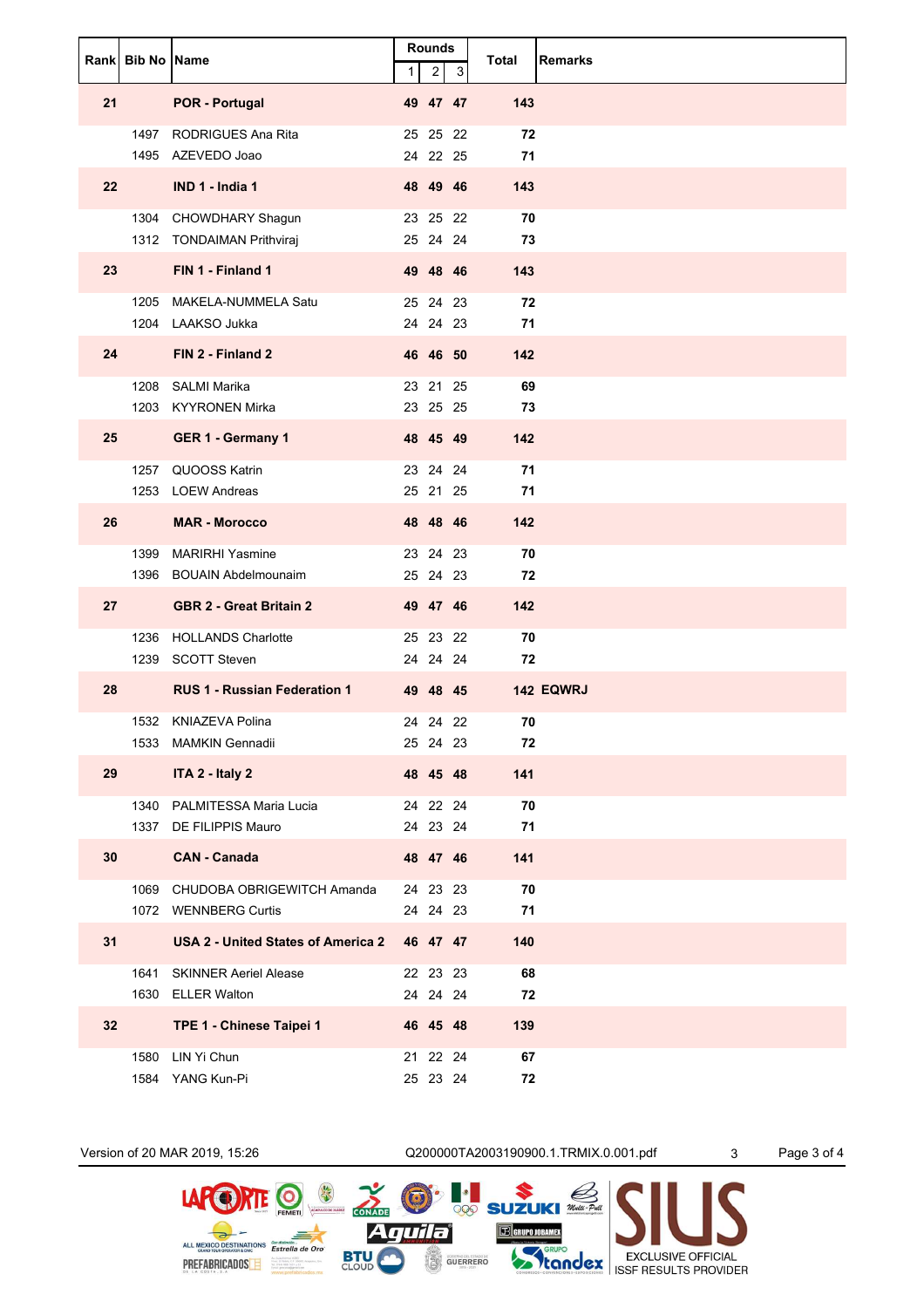|                   | Rank Bib No Name |                                                          | $\mathbf{1}$ | <b>Rounds</b><br>$\overline{c}$ | 3 | Total     | <b>Remarks</b> |
|-------------------|------------------|----------------------------------------------------------|--------------|---------------------------------|---|-----------|----------------|
| 21                |                  | <b>POR - Portugal</b>                                    |              | 49 47 47                        |   | 143       |                |
|                   |                  | 1497 RODRIGUES Ana Rita<br>1495 AZEVEDO Joao             |              | 25 25 22<br>24 22 25            |   | 72<br>71  |                |
| $22 \overline{ }$ |                  | IND 1 - India 1                                          |              | 48 49 46                        |   | 143       |                |
|                   |                  | 1304 CHOWDHARY Shagun<br>1312 TONDAIMAN Prithviraj       |              | 23 25 22<br>25 24 24            |   | 70<br>73  |                |
| 23                |                  | FIN 1 - Finland 1                                        |              | 49 48 46                        |   | 143       |                |
|                   |                  | 1205 MAKELA-NUMMELA Satu<br>1204 LAAKSO Jukka            |              | 25 24 23<br>24 24 23            |   | 72<br>71  |                |
| 24                |                  | FIN 2 - Finland 2                                        |              | 46 46 50                        |   | 142       |                |
|                   |                  | 1208 SALMI Marika<br>1203 KYYRONEN Mirka                 |              | 23 21 25<br>23 25 25            |   | 69<br>73  |                |
| 25                |                  | GER 1 - Germany 1                                        |              | 48 45 49                        |   | 142       |                |
|                   |                  | 1257 QUOOSS Katrin<br>1253 LOEW Andreas                  |              | 23 24 24<br>25 21 25            |   | 71<br>71  |                |
| 26                |                  | <b>MAR - Morocco</b>                                     |              | 48 48 46                        |   | 142       |                |
|                   |                  | 1399 MARIRHI Yasmine<br>1396 BOUAIN Abdelmounaim         |              | 23 24 23<br>25 24 23            |   | 70<br>72  |                |
| 27                |                  | <b>GBR 2 - Great Britain 2</b>                           |              | 49 47 46                        |   | 142       |                |
|                   |                  | 1236 HOLLANDS Charlotte                                  |              | 25 23 22                        |   | 70        |                |
| 28                |                  | 1239 SCOTT Steven<br><b>RUS 1 - Russian Federation 1</b> |              | 24 24 24<br>49 48 45            |   | 72        | 142 EQWRJ      |
|                   |                  | 1532 KNIAZEVA Polina                                     |              | 24 24 22                        |   | 70        |                |
|                   |                  | 1533 MAMKIN Gennadii                                     |              | 25 24 23                        |   | 72        |                |
| 29                |                  | ITA 2 - Italy 2                                          |              | 48 45 48                        |   | 141       |                |
|                   |                  | 1340 PALMITESSA Maria Lucia<br>1337 DE FILIPPIS Mauro    |              | 24 22 24<br>24 23 24            |   | 70<br>71  |                |
| 30                |                  | <b>CAN - Canada</b>                                      |              | 48 47 46                        |   | 141       |                |
|                   |                  | 1069 CHUDOBA OBRIGEWITCH Amanda<br>1072 WENNBERG Curtis  |              | 24 23 23<br>24 24 23            |   | 70<br>71  |                |
| 31                |                  | USA 2 - United States of America 2                       |              | 46 47 47                        |   | 140       |                |
|                   |                  | 1641 SKINNER Aeriel Alease                               |              | 22 23 23                        |   | 68        |                |
| 32                |                  | 1630 ELLER Walton<br>TPE 1 - Chinese Taipei 1            |              | 24  24  24<br>46 45 48          |   | 72<br>139 |                |
|                   | 1580             | LIN Yi Chun                                              |              | 21 22 24                        |   | 67        |                |
|                   |                  | 1584 YANG Kun-Pi                                         |              | 25 23 24                        |   | 72        |                |



GUERRERO

**BTU**<br>CLOUD

PREFABRICADOS E

**SEXCLUSIVE OFFICIAL**